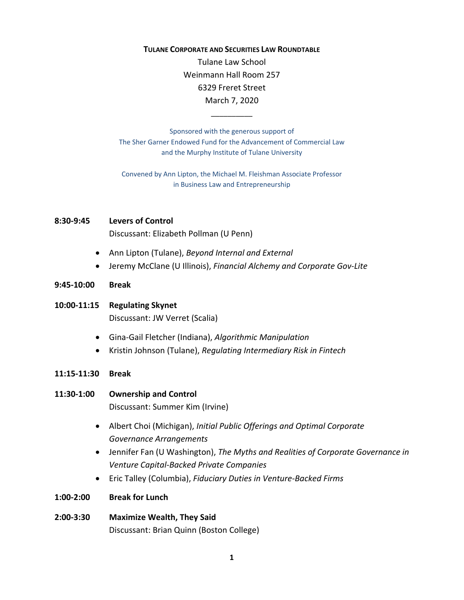## **TULANE CORPORATE AND SECURITIES LAW ROUNDTABLE**

Tulane Law School Weinmann Hall Room 257 6329 Freret Street March 7, 2020

Sponsored with the generous support of The Sher Garner Endowed Fund for the Advancement of Commercial Law and the Murphy Institute of Tulane University

\_\_\_\_\_\_\_\_\_\_

Convened by Ann Lipton, the Michael M. Fleishman Associate Professor in Business Law and Entrepreneurship

## **8:30‐9:45 Levers of Control**

Discussant: Elizabeth Pollman (U Penn)

- Ann Lipton (Tulane), *Beyond Internal and External*
- Jeremy McClane (U Illinois), *Financial Alchemy and Corporate Gov‐Lite*
- **9:45‐10:00 Break**
- **10:00‐11:15 Regulating Skynet** Discussant: JW Verret (Scalia)
	- Gina‐Gail Fletcher (Indiana), *Algorithmic Manipulation*
	- Kristin Johnson (Tulane), *Regulating Intermediary Risk in Fintech*
- **11:15‐11:30 Break**
- **11:30‐1:00 Ownership and Control** Discussant: Summer Kim (Irvine)
	- Albert Choi (Michigan), *Initial Public Offerings and Optimal Corporate Governance Arrangements*
	- Jennifer Fan (U Washington), *The Myths and Realities of Corporate Governance in Venture Capital‐Backed Private Companies*
	- Eric Talley (Columbia), *Fiduciary Duties in Venture‐Backed Firms*
- **1:00‐2:00 Break for Lunch**
- **2:00‐3:30 Maximize Wealth, They Said**  Discussant: Brian Quinn (Boston College)